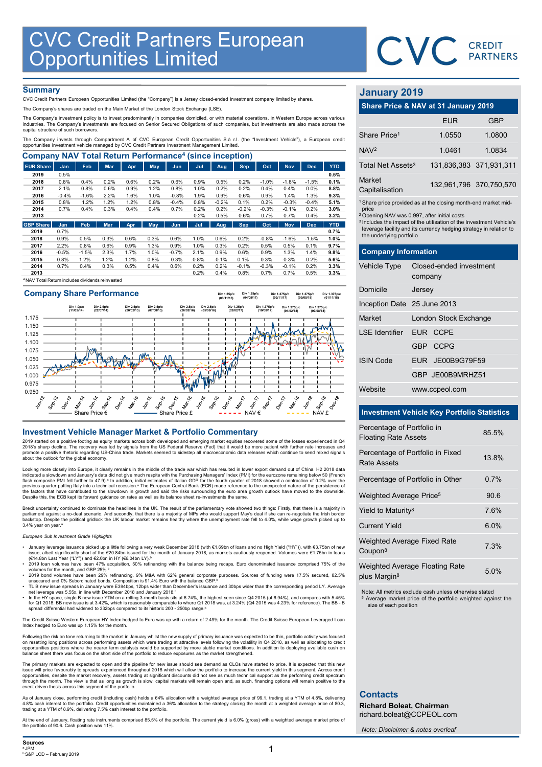

# **Summary**

| <b>CVC Credit Partners European<br/>Opportunities Limited</b>                                                                                                                                                                                                                                   |              |                 |              |              |              |                 |              |                 |                 |                 |                    |                 |              |                               |                                                                               |            |
|-------------------------------------------------------------------------------------------------------------------------------------------------------------------------------------------------------------------------------------------------------------------------------------------------|--------------|-----------------|--------------|--------------|--------------|-----------------|--------------|-----------------|-----------------|-----------------|--------------------|-----------------|--------------|-------------------------------|-------------------------------------------------------------------------------|------------|
|                                                                                                                                                                                                                                                                                                 |              |                 |              |              |              |                 |              |                 |                 |                 |                    |                 |              |                               | CVC CREDIT                                                                    |            |
|                                                                                                                                                                                                                                                                                                 |              |                 |              |              |              |                 |              |                 |                 |                 |                    |                 |              |                               |                                                                               |            |
|                                                                                                                                                                                                                                                                                                 |              |                 |              |              |              |                 |              |                 |                 |                 |                    |                 |              |                               |                                                                               |            |
| <b>Summary</b>                                                                                                                                                                                                                                                                                  |              |                 |              |              |              |                 |              |                 |                 |                 |                    |                 |              |                               |                                                                               |            |
| CVC Credit Partners European Opportunities Limited (the "Company") is a Jersey closed-ended investment company limited by shares.                                                                                                                                                               |              |                 |              |              |              |                 |              |                 |                 |                 |                    |                 |              | <b>January 2019</b>           |                                                                               |            |
| The Company's shares are traded on the Main Market of the London Stock Exchange (LSE).                                                                                                                                                                                                          |              |                 |              |              |              |                 |              |                 |                 |                 |                    |                 |              |                               | Share Price & NAV at 31 January 2019                                          |            |
| The Company's investment policy is to invest predominantly in companies domiciled, or with material operations, in Western Europe across various<br>industries. The Company's investments are focused on Senior Secured Obligations of such companies, but investments are also made across the |              |                 |              |              |              |                 |              |                 |                 |                 |                    |                 |              |                               | <b>EUR</b>                                                                    | <b>GBP</b> |
| capital structure of such borrowers.                                                                                                                                                                                                                                                            |              |                 |              |              |              |                 |              |                 |                 |                 |                    |                 |              | Share Price <sup>1</sup>      | 1.0550                                                                        | 1.0800     |
| The Company invests through Compartment A of CVC European Credit Opportunities S.à r.l. (the "Investment Vehicle"), a European credit<br>opportunities investment vehicle managed by CVC Credit Partners Investment Management Limited.                                                         |              |                 |              |              |              |                 |              |                 |                 |                 |                    |                 |              |                               |                                                                               |            |
| <b>Company NAV Total Return Performance<sup>4</sup> (since inception)</b>                                                                                                                                                                                                                       |              |                 |              |              |              |                 |              |                 |                 |                 |                    |                 |              | NAV <sup>2</sup>              | 1.0461                                                                        | 1.0834     |
| <b>EUR Share</b>                                                                                                                                                                                                                                                                                | Jan          | Feb             | Mar          | Apr          | May          | Jun             | Jul          | Aug             | <b>Sep</b>      | Oct             | <b>Nov</b>         | <b>Dec</b>      | <b>YTD</b>   | Total Net Assets <sup>3</sup> | 131,836,383 371,931,3                                                         |            |
| 2019                                                                                                                                                                                                                                                                                            | 0.5%         |                 |              |              |              |                 |              |                 |                 |                 |                    |                 | 0.5%         |                               |                                                                               |            |
| 2018<br>2017                                                                                                                                                                                                                                                                                    | 0.8%<br>2.1% | 0.4%<br>0.8%    | 0.2%<br>0.6% | 0.6%<br>0.9% | 0.2%<br>1.2% | 0.6%<br>0.8%    | 0.9%<br>1.0% | 0.5%<br>0.2%    | 0.2%<br>0.2%    | $-1.0%$<br>0.4% | $-1.8%$<br>0.4%    | $-1.5%$<br>0.0% | 0.1%<br>8.8% | Market                        | 132,961,796 370,750,57                                                        |            |
| 2016                                                                                                                                                                                                                                                                                            | $-0.4%$      | $-1.6%$         | 2.2%         | 1.6%         | 1.0%         | $-0.8%$         | 1.9%         | 0.9%            | 0.6%            | 0.9%            | 1.4%               | 1.3%            | 9.3%         | Capitalisation                |                                                                               |            |
| 2015                                                                                                                                                                                                                                                                                            | 0.8%         | 1.2%            | 1.2%         | 1.2%         | 0.8%         | $-0.4%$         | 0.8%         | $-0.2%$         | 0.1%            | 0.2%            | $-0.3%$            | $-0.4%$         | 5.1%         |                               | <sup>1</sup> Share price provided as at the closing month-end market mid      |            |
| 2014                                                                                                                                                                                                                                                                                            | 0.7%         | 0.4%            | 0.3%         | 0.4%         | 0.4%         | 0.7%            | 0.2%         | 0.2%            | $-0.2%$         | $-0.3%$         | $-0.1%$            | 0.2%            | 3.0%         | price                         |                                                                               |            |
| 2013                                                                                                                                                                                                                                                                                            |              |                 |              |              |              |                 | 0.2%         | 0.5%            | 0.6%            | 0.7%            | 0.7%               | 0.4%            | 3.2%         |                               | <sup>2</sup> Opening NAV was 0.997, after initial costs                       |            |
| <b>GBP Share</b>                                                                                                                                                                                                                                                                                | <b>Jan</b>   | Feb             | <b>Mar</b>   | Apr          | <b>May</b>   | Jun             | Jul          | Aug             | <b>Sep</b>      | Oct             | <b>Nov</b>         | <b>Dec</b>      | <b>YTD</b>   |                               | <sup>3</sup> Includes the impact of the utilisation of the Investment Vehicle |            |
| 2019                                                                                                                                                                                                                                                                                            | 0.7%         |                 |              |              |              |                 |              |                 |                 |                 |                    |                 | 0.7%         | the underlying portfolio      | leverage facility and its currency hedging strategy in relation t             |            |
| 2018                                                                                                                                                                                                                                                                                            | 0.9%         | 0.5%            | 0.3%         | 0.6%         | 0.3%         | 0.6%            | 1.0%         | 0.6%            | 0.2%            | $-0.8%$         | $-1.6%$            | $-1.5%$         | 1.0%         |                               |                                                                               |            |
| 2017                                                                                                                                                                                                                                                                                            | 2.2%         | 0.8%            | 0.6%         | 0.9%         | 1.3%         | 0.9%            | 1.0%         | 0.3%            | 0.2%            | 0.5%            | 0.5%               | 0.1%            | 9.7%         |                               |                                                                               |            |
| 2016                                                                                                                                                                                                                                                                                            | $-0.5%$      | $-1.5%$<br>1.2% | 2.3%         | 1.7%<br>1.2% | 1.0%         | $-0.7%$         | 2.1%         | 0.9%            | 0.6%            | 0.9%            | 1.3%               | 1.4%            | 9.8%         | <b>Company Information</b>    |                                                                               |            |
| 2015<br>2014                                                                                                                                                                                                                                                                                    | 0.8%<br>0.7% | 0.4%            | 1.2%<br>0.3% | 0.5%         | 0.8%<br>0.4% | $-0.3%$<br>0.6% | 0.8%<br>0.2% | $-0.1%$<br>0.2% | 0.1%<br>$-0.1%$ | 0.3%<br>$-0.3%$ | $-0.3%$<br>$-0.1%$ | $-0.2%$<br>0.2% | 5.6%<br>3.3% | <b>Vehicle Type</b>           | Closed-ended investment                                                       |            |
| 2013                                                                                                                                                                                                                                                                                            |              |                 |              |              |              |                 | 0.2%         | 0.4%            | 0.8%            | 0.7%            | 0.7%               | 0.5%            | 3.3%         |                               |                                                                               |            |
|                                                                                                                                                                                                                                                                                                 |              |                 |              |              |              |                 |              |                 |                 |                 |                    |                 |              |                               | company                                                                       |            |

NAV Total Return includes dividends reinveste



2019 started on a positive footing as equity markets across both developed and emerging market equities recovered some of the losses experienced in Q4<br>2018's sharp decline. The recovery was led by signals from the US Feder

Looking more closely into Europe, it clearly remains in the middle of the trade war which has resulted in lower export demand out of China. H2 2018 data indicated a slowdown and January's data did not give much respite with the Purchasing Managers' Index (PMI) for the eurozone remaining below 50 (French<br>flash composite PMI fell further to 47.9).ª In addition, initial estim Despite this, the ECB kept its forward guidance on rates as well as its balance sheet re-investments the same.

Brexit uncertainty continued to dominate the headlines in the UK. The result of the parliamentary vote showed two things: Firstly, that there is a majority in<br>parliament against a no-deal scenario. And secondly, that there 3.4% year on year.

## European Sub Investment Grade Highlights

- January leverage issuance picked up a little following a very weak December 2018 (with €1.69bn of loans and no High Yield ("HY")), with €3.75bn of new<br>issue, albeit significantly short of the €20.84bn issued for the mon ( $614.8$ bn Last Year ("LY")) and  $62.0$ bn in HY ( $66.04$ bn LY).
- 2019 loan volumes have been 47% acquisition, 50% refinancing with the balance being recaps. Euro denominated issuance comprised 75% of the
- volumes for the month, and GBP 25%.<sup>b</sup><br>• 2019 bond volumes have been 29% refinancing, 9% M&A with 62% general corporate purposes. Sources of funding were 17.5% secured, 82.5%<br>• msecured and 0% Subordinated bonds. Compositi
- 
- net leverage was 5.55x, in line with December 2018 and January 2018.<sup>b</sup><br>• In the HY space, single B new issue YTM on a rolling 3-month basis sits at 6.74%, the highest seen since Q4 2015 (at 6.94%), and compares with 5.45%

The Credit Suisse Western European HY Index hedged to Euro was up with a return of 2.49% for the month. The Credit Suisse European Leveraged Loan Index hedged to Euro was up 1.15% for the month.

Following the risk on tone returning to the market in January whilst the new supply of primary issuance was expected to be thin, portfolio activity was focused<br>on resetting long positions across performing assets which wer

The primary markets are expected to open and the pipeline for new issue should see demand as CLOs have started to price. It is expected that this new issue will price favourably to spreads experienced throughout 2018 which will allow the portfolio to increase the current yield in this segment. Across credit<br>opportunities, despite the market recovery, assets trading at s

As of January close, performing credit (including cash) holds a 64% allocation with a weighted average price of 99.1, trading at a YTM of 4.8%, delivering 4.8% cash interest to the portfolio. Credit opportunities maintained a 36% allocation to the strategy closing the month at a weighted average price of 80.3,<br>trading at a YTM of 8.9%, delivering 7.5% cash interest to the po

At the end of January, floating rate instruments comprised 85.5% of the portfolio. The current yield is 6.0% (gross) with a weighted average market price of the portfolio of 90.6. Cash position was 11%.

# January 2019

|                               | CVC CREDIT                                                                                                                                                                                                       |                         |
|-------------------------------|------------------------------------------------------------------------------------------------------------------------------------------------------------------------------------------------------------------|-------------------------|
|                               |                                                                                                                                                                                                                  |                         |
| <b>January 2019</b>           |                                                                                                                                                                                                                  |                         |
|                               | Share Price & NAV at 31 January 2019                                                                                                                                                                             |                         |
|                               | <b>EUR</b>                                                                                                                                                                                                       | <b>GBP</b>              |
| Share Price <sup>1</sup>      | 1.0550                                                                                                                                                                                                           | 1.0800                  |
| NAV <sup>2</sup>              | 1.0461                                                                                                                                                                                                           | 1.0834                  |
| Total Net Assets <sup>3</sup> |                                                                                                                                                                                                                  | 131,836,383 371,931,311 |
| Market<br>Capitalisation      |                                                                                                                                                                                                                  | 132,961,796 370,750,570 |
| price                         | <sup>1</sup> Share price provided as at the closing month-end market mid-                                                                                                                                        |                         |
| the underlying portfolio      | <sup>2</sup> Opening NAV was 0.997, after initial costs<br><sup>3</sup> Includes the impact of the utilisation of the Investment Vehicle's<br>leverage facility and its currency hedging strategy in relation to |                         |
| <b>Company Information</b>    |                                                                                                                                                                                                                  |                         |
| Vehicle Type                  | Closed-ended investment<br>company                                                                                                                                                                               |                         |
| Domicile                      | Jersey                                                                                                                                                                                                           |                         |
| Inception Date 25 June 2013   |                                                                                                                                                                                                                  |                         |
| Market                        | London Stock Exchange                                                                                                                                                                                            |                         |

|                                                           |                                                                                                                                                                                                                                                                                               | <b>PARTNERS</b>         |
|-----------------------------------------------------------|-----------------------------------------------------------------------------------------------------------------------------------------------------------------------------------------------------------------------------------------------------------------------------------------------|-------------------------|
| <b>January 2019</b>                                       |                                                                                                                                                                                                                                                                                               |                         |
|                                                           | Share Price & NAV at 31 January 2019                                                                                                                                                                                                                                                          |                         |
|                                                           | <b>EUR</b>                                                                                                                                                                                                                                                                                    | <b>GBP</b>              |
| Share Price <sup>1</sup>                                  | 1.0550                                                                                                                                                                                                                                                                                        | 1.0800                  |
| NAV <sup>2</sup>                                          | 1.0461                                                                                                                                                                                                                                                                                        | 1.0834                  |
| Total Net Assets <sup>3</sup>                             |                                                                                                                                                                                                                                                                                               | 131,836,383 371,931,311 |
| Market<br>Capitalisation                                  |                                                                                                                                                                                                                                                                                               | 132,961,796 370,750,570 |
| price<br>the underlying portfolio                         | <sup>1</sup> Share price provided as at the closing month-end market mid-<br><sup>2</sup> Opening NAV was 0.997, after initial costs<br><sup>3</sup> Includes the impact of the utilisation of the Investment Vehicle's<br>leverage facility and its currency hedging strategy in relation to |                         |
| <b>Company Information</b>                                |                                                                                                                                                                                                                                                                                               |                         |
| Vehicle Type                                              | Closed-ended investment<br>company                                                                                                                                                                                                                                                            |                         |
| Domicile                                                  | Jersey                                                                                                                                                                                                                                                                                        |                         |
| Inception Date 25 June 2013                               |                                                                                                                                                                                                                                                                                               |                         |
| Market                                                    | London Stock Exchange                                                                                                                                                                                                                                                                         |                         |
| <b>LSE</b> Identifier                                     | EUR CCPE                                                                                                                                                                                                                                                                                      |                         |
|                                                           | GBP CCPG                                                                                                                                                                                                                                                                                      |                         |
| <b>ISIN Code</b>                                          | EUR JE00B9G79F59                                                                                                                                                                                                                                                                              |                         |
|                                                           | GBP JE00B9MRHZ51                                                                                                                                                                                                                                                                              |                         |
| Website                                                   | www.ccpeol.com                                                                                                                                                                                                                                                                                |                         |
|                                                           | <b>Investment Vehicle Key Portfolio Statistics</b>                                                                                                                                                                                                                                            |                         |
| Percentage of Portfolio in<br><b>Floating Rate Assets</b> |                                                                                                                                                                                                                                                                                               | 85.5%                   |
| <b>Rate Assets</b>                                        | Percentage of Portfolio in Fixed                                                                                                                                                                                                                                                              | 13.8%                   |
|                                                           | Percentage of Portfolio in Other                                                                                                                                                                                                                                                              | 0.7%                    |
| Weighted Average Price <sup>5</sup>                       |                                                                                                                                                                                                                                                                                               | 90.6                    |
| Yield to Maturity <sup>8</sup>                            |                                                                                                                                                                                                                                                                                               | 7.6%                    |
| <b>Current Yield</b>                                      |                                                                                                                                                                                                                                                                                               | 6.0%                    |
|                                                           |                                                                                                                                                                                                                                                                                               |                         |

# Investment Vehicle Key Portfolio Statistics

| Domicile                                                  | Jersey                                             |       |  |
|-----------------------------------------------------------|----------------------------------------------------|-------|--|
| Inception Date 25 June 2013                               |                                                    |       |  |
| Market                                                    | London Stock Exchange                              |       |  |
| <b>LSE Identifier</b>                                     | EUR CCPE                                           |       |  |
|                                                           | GBP CCPG                                           |       |  |
| <b>ISIN Code</b>                                          | EUR JE00B9G79F59                                   |       |  |
|                                                           | GBP JE00B9MRHZ51                                   |       |  |
| Website                                                   | www.ccpeol.com                                     |       |  |
|                                                           |                                                    |       |  |
|                                                           | <b>Investment Vehicle Key Portfolio Statistics</b> |       |  |
| Percentage of Portfolio in<br><b>Floating Rate Assets</b> |                                                    | 85.5% |  |
| <b>Rate Assets</b>                                        | Percentage of Portfolio in Fixed                   | 13.8% |  |
|                                                           | Percentage of Portfolio in Other                   | 0.7%  |  |
| Weighted Average Price <sup>5</sup>                       |                                                    | 90.6  |  |
| Yield to Maturity <sup>8</sup>                            |                                                    | 7.6%  |  |
| <b>Current Yield</b>                                      |                                                    | 6.0%  |  |
| Weighted Average Fixed Rate<br>Coupon <sup>8</sup>        |                                                    | 7.3%  |  |
| plus Margin <sup>8</sup>                                  | Weighted Average Floating Rate                     | 5.0%  |  |
|                                                           |                                                    |       |  |

Note: All metrics exclude cash unless otherwise stated

Average market price of the portfolio weighted against the size of each position

# **Contacts**

Richard Boleat, Chairman richard.boleat@CCPEOL.com

Note: Disclaimer & notes overleaf